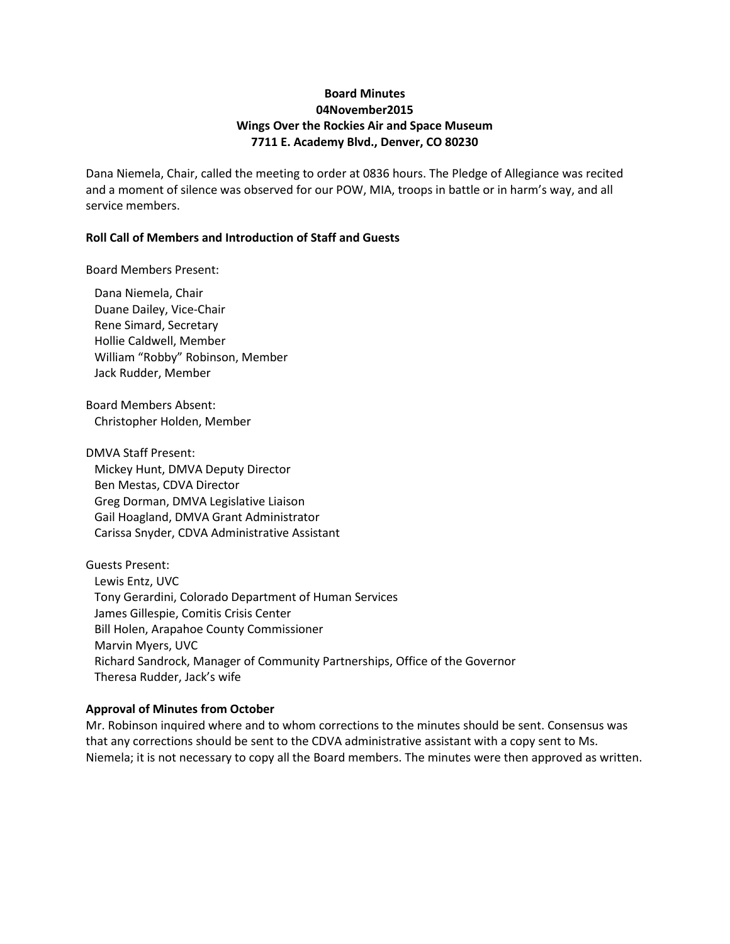# **Board Minutes 04November2015 Wings Over the Rockies Air and Space Museum 7711 E. Academy Blvd., Denver, CO 80230**

Dana Niemela, Chair, called the meeting to order at 0836 hours. The Pledge of Allegiance was recited and a moment of silence was observed for our POW, MIA, troops in battle or in harm's way, and all service members.

# **Roll Call of Members and Introduction of Staff and Guests**

Board Members Present:

Dana Niemela, Chair Duane Dailey, Vice-Chair Rene Simard, Secretary Hollie Caldwell, Member William "Robby" Robinson, Member Jack Rudder, Member

Board Members Absent: Christopher Holden, Member

DMVA Staff Present: Mickey Hunt, DMVA Deputy Director Ben Mestas, CDVA Director Greg Dorman, DMVA Legislative Liaison Gail Hoagland, DMVA Grant Administrator Carissa Snyder, CDVA Administrative Assistant

Guests Present: Lewis Entz, UVC Tony Gerardini, Colorado Department of Human Services James Gillespie, Comitis Crisis Center Bill Holen, Arapahoe County Commissioner Marvin Myers, UVC Richard Sandrock, Manager of Community Partnerships, Office of the Governor Theresa Rudder, Jack's wife

# **Approval of Minutes from October**

Mr. Robinson inquired where and to whom corrections to the minutes should be sent. Consensus was that any corrections should be sent to the CDVA administrative assistant with a copy sent to Ms. Niemela; it is not necessary to copy all the Board members. The minutes were then approved as written.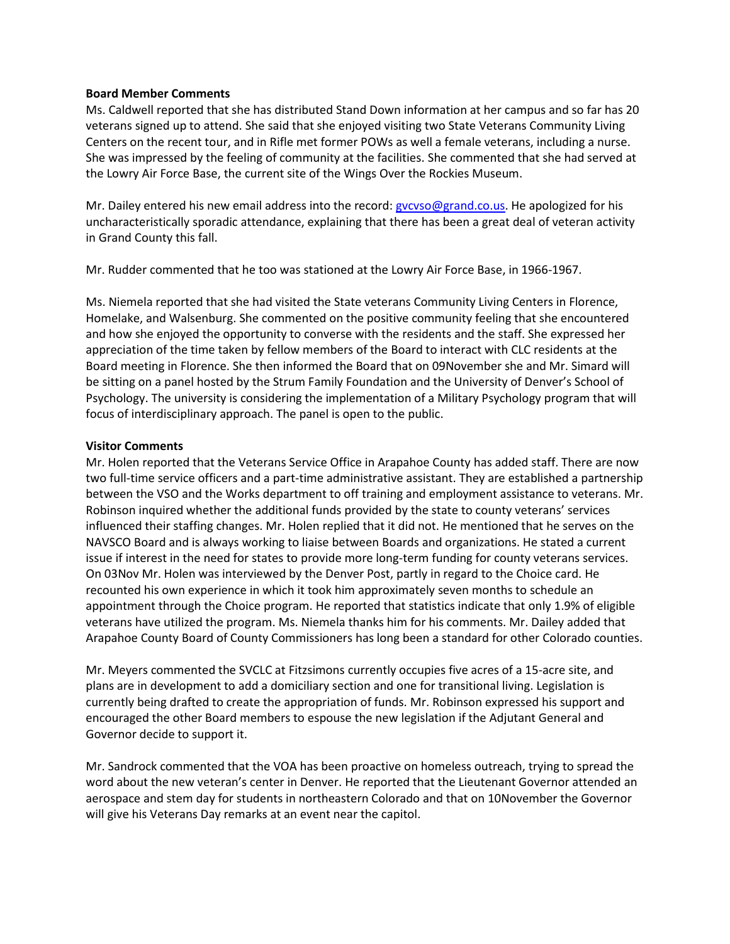## **Board Member Comments**

Ms. Caldwell reported that she has distributed Stand Down information at her campus and so far has 20 veterans signed up to attend. She said that she enjoyed visiting two State Veterans Community Living Centers on the recent tour, and in Rifle met former POWs as well a female veterans, including a nurse. She was impressed by the feeling of community at the facilities. She commented that she had served at the Lowry Air Force Base, the current site of the Wings Over the Rockies Museum.

Mr. Dailey entered his new email address into the record: gycyso@grand.co.us. He apologized for his uncharacteristically sporadic attendance, explaining that there has been a great deal of veteran activity in Grand County this fall.

Mr. Rudder commented that he too was stationed at the Lowry Air Force Base, in 1966-1967.

Ms. Niemela reported that she had visited the State veterans Community Living Centers in Florence, Homelake, and Walsenburg. She commented on the positive community feeling that she encountered and how she enjoyed the opportunity to converse with the residents and the staff. She expressed her appreciation of the time taken by fellow members of the Board to interact with CLC residents at the Board meeting in Florence. She then informed the Board that on 09November she and Mr. Simard will be sitting on a panel hosted by the Strum Family Foundation and the University of Denver's School of Psychology. The university is considering the implementation of a Military Psychology program that will focus of interdisciplinary approach. The panel is open to the public.

# **Visitor Comments**

Mr. Holen reported that the Veterans Service Office in Arapahoe County has added staff. There are now two full-time service officers and a part-time administrative assistant. They are established a partnership between the VSO and the Works department to off training and employment assistance to veterans. Mr. Robinson inquired whether the additional funds provided by the state to county veterans' services influenced their staffing changes. Mr. Holen replied that it did not. He mentioned that he serves on the NAVSCO Board and is always working to liaise between Boards and organizations. He stated a current issue if interest in the need for states to provide more long-term funding for county veterans services. On 03Nov Mr. Holen was interviewed by the Denver Post, partly in regard to the Choice card. He recounted his own experience in which it took him approximately seven months to schedule an appointment through the Choice program. He reported that statistics indicate that only 1.9% of eligible veterans have utilized the program. Ms. Niemela thanks him for his comments. Mr. Dailey added that Arapahoe County Board of County Commissioners has long been a standard for other Colorado counties.

Mr. Meyers commented the SVCLC at Fitzsimons currently occupies five acres of a 15-acre site, and plans are in development to add a domiciliary section and one for transitional living. Legislation is currently being drafted to create the appropriation of funds. Mr. Robinson expressed his support and encouraged the other Board members to espouse the new legislation if the Adjutant General and Governor decide to support it.

Mr. Sandrock commented that the VOA has been proactive on homeless outreach, trying to spread the word about the new veteran's center in Denver. He reported that the Lieutenant Governor attended an aerospace and stem day for students in northeastern Colorado and that on 10November the Governor will give his Veterans Day remarks at an event near the capitol.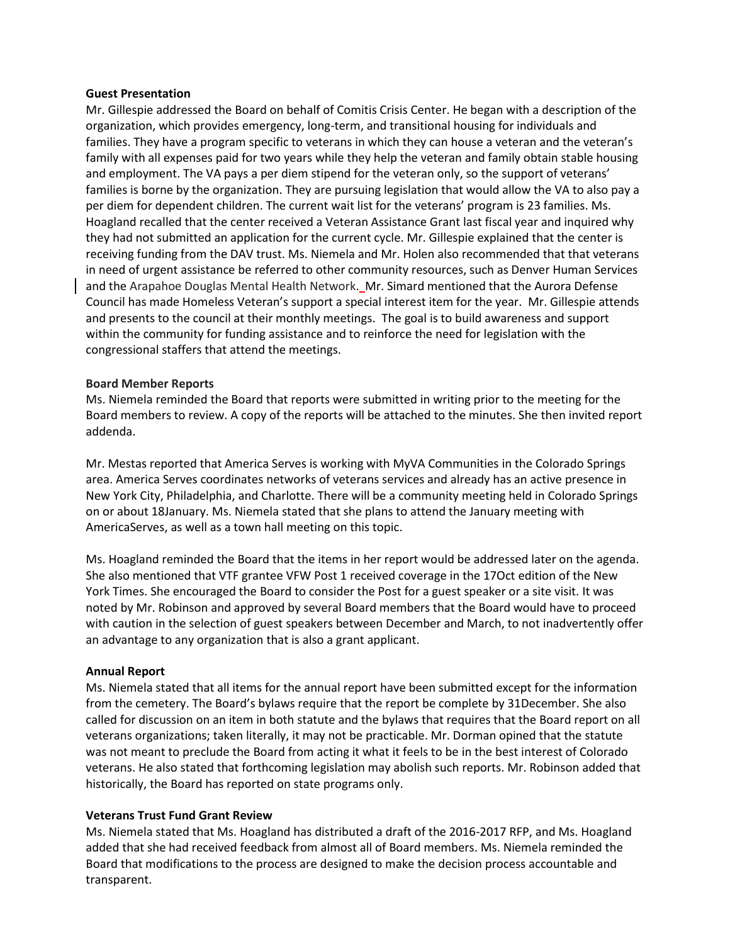### **Guest Presentation**

Mr. Gillespie addressed the Board on behalf of Comitis Crisis Center. He began with a description of the organization, which provides emergency, long-term, and transitional housing for individuals and families. They have a program specific to veterans in which they can house a veteran and the veteran's family with all expenses paid for two years while they help the veteran and family obtain stable housing and employment. The VA pays a per diem stipend for the veteran only, so the support of veterans' families is borne by the organization. They are pursuing legislation that would allow the VA to also pay a per diem for dependent children. The current wait list for the veterans' program is 23 families. Ms. Hoagland recalled that the center received a Veteran Assistance Grant last fiscal year and inquired why they had not submitted an application for the current cycle. Mr. Gillespie explained that the center is receiving funding from the DAV trust. Ms. Niemela and Mr. Holen also recommended that that veterans in need of urgent assistance be referred to other community resources, such as Denver Human Services and the Arapahoe Douglas Mental Health Network. Mr. Simard mentioned that the Aurora Defense Council has made Homeless Veteran's support a special interest item for the year. Mr. Gillespie attends and presents to the council at their monthly meetings. The goal is to build awareness and support within the community for funding assistance and to reinforce the need for legislation with the congressional staffers that attend the meetings.

# **Board Member Reports**

Ms. Niemela reminded the Board that reports were submitted in writing prior to the meeting for the Board members to review. A copy of the reports will be attached to the minutes. She then invited report addenda.

Mr. Mestas reported that America Serves is working with MyVA Communities in the Colorado Springs area. America Serves coordinates networks of veterans services and already has an active presence in New York City, Philadelphia, and Charlotte. There will be a community meeting held in Colorado Springs on or about 18January. Ms. Niemela stated that she plans to attend the January meeting with AmericaServes, as well as a town hall meeting on this topic.

Ms. Hoagland reminded the Board that the items in her report would be addressed later on the agenda. She also mentioned that VTF grantee VFW Post 1 received coverage in the 17Oct edition of the New York Times. She encouraged the Board to consider the Post for a guest speaker or a site visit. It was noted by Mr. Robinson and approved by several Board members that the Board would have to proceed with caution in the selection of guest speakers between December and March, to not inadvertently offer an advantage to any organization that is also a grant applicant.

### **Annual Report**

Ms. Niemela stated that all items for the annual report have been submitted except for the information from the cemetery. The Board's bylaws require that the report be complete by 31December. She also called for discussion on an item in both statute and the bylaws that requires that the Board report on all veterans organizations; taken literally, it may not be practicable. Mr. Dorman opined that the statute was not meant to preclude the Board from acting it what it feels to be in the best interest of Colorado veterans. He also stated that forthcoming legislation may abolish such reports. Mr. Robinson added that historically, the Board has reported on state programs only.

### **Veterans Trust Fund Grant Review**

Ms. Niemela stated that Ms. Hoagland has distributed a draft of the 2016-2017 RFP, and Ms. Hoagland added that she had received feedback from almost all of Board members. Ms. Niemela reminded the Board that modifications to the process are designed to make the decision process accountable and transparent.